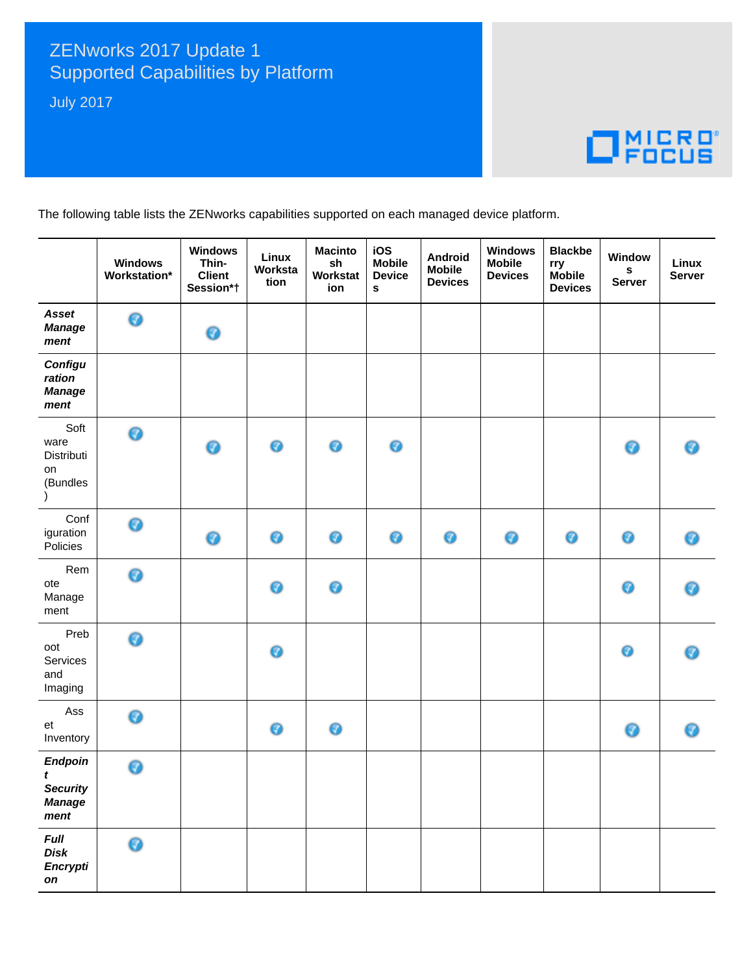## ZENworks 2017 Update 1 **Supported Capabilities by Platform**

**July 2017** 

## $\Box$ <sup>MICRO</sup>

The following table lists the ZENworks capabilities supported on each managed device platform.

|                                                           | <b>Windows</b><br>Workstation* | <b>Windows</b><br>Thin-<br><b>Client</b><br>Session*† | Linux<br>Worksta<br>tion | <b>Macinto</b><br>sh<br>Workstat<br>ion | iOS<br><b>Mobile</b><br><b>Device</b><br>s | Android<br><b>Mobile</b><br><b>Devices</b> | <b>Windows</b><br><b>Mobile</b><br><b>Devices</b> | <b>Blackbe</b><br>rry<br><b>Mobile</b><br><b>Devices</b> | Window<br>$\mathbf s$<br><b>Server</b> | Linux<br><b>Server</b> |
|-----------------------------------------------------------|--------------------------------|-------------------------------------------------------|--------------------------|-----------------------------------------|--------------------------------------------|--------------------------------------------|---------------------------------------------------|----------------------------------------------------------|----------------------------------------|------------------------|
| Asset<br><b>Manage</b><br>ment                            | 0                              | 0                                                     |                          |                                         |                                            |                                            |                                                   |                                                          |                                        |                        |
| Configu<br>ration<br><b>Manage</b><br>ment                |                                |                                                       |                          |                                         |                                            |                                            |                                                   |                                                          |                                        |                        |
| Soft<br>ware<br>Distributi<br>on<br>(Bundles<br>$\lambda$ | 0                              | 0                                                     | 0                        | 0                                       | 0                                          |                                            |                                                   |                                                          | ◉                                      | ⋒                      |
| Conf<br>iguration<br>Policies                             | ര                              | 0                                                     | ◉                        | ◉                                       | 0                                          | ◉                                          | 0                                                 | 0                                                        | 0                                      | ◉                      |
| Rem<br>ote<br>Manage<br>ment                              | 0                              |                                                       | ◉                        | 0                                       |                                            |                                            |                                                   |                                                          | ◉                                      | Θ                      |
| Preb<br>oot<br>Services<br>and<br>Imaging                 | 0                              |                                                       | ◉                        |                                         |                                            |                                            |                                                   |                                                          | 0                                      | ര                      |
| Ass<br>et<br>Inventory                                    | Ø                              |                                                       | ◉                        | 0                                       |                                            |                                            |                                                   |                                                          | ◉                                      | ◉                      |
| Endpoin<br>t<br><b>Security</b><br><b>Manage</b><br>ment  | ◉                              |                                                       |                          |                                         |                                            |                                            |                                                   |                                                          |                                        |                        |
| <b>Full</b><br>Disk<br>Encrypti<br>on                     | 0                              |                                                       |                          |                                         |                                            |                                            |                                                   |                                                          |                                        |                        |